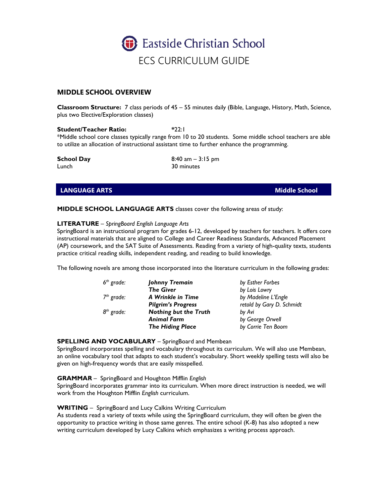

# **MIDDLE SCHOOL OVERVIEW**

**Classroom Structure:** 7 class periods of 45 – 55 minutes daily (Bible, Language, History, Math, Science, plus two Elective/Exploration classes)

**Student/Teacher Ratio: \***22:1 \*Middle school core classes typically range from 10 to 20 students. Some middle school teachers are able to utilize an allocation of instructional assistant time to further enhance the programming.

Lunch 30 minutes

**School Day** 8:40 am – 3:15 pm

# **LANGUAGE ARTS Middle School**

## **MIDDLE SCHOOL LANGUAGE ARTS** classes cover the following areas of study:

## **LITERATURE** – *SpringBoard English Language Arts*

SpringBoard is an instructional program for grades 6-12, developed by teachers for teachers. It offers core instructional materials that are aligned to College and Career Readiness Standards, Advanced Placement (AP) coursework, and the SAT Suite of Assessments. Reading from a variety of high-quality texts, students practice critical reading skills, independent reading, and reading to build knowledge.

The following novels are among those incorporated into the literature curriculum in the following grades:

| $6^{th}$ grade: | Johnny Tremain               | by Esther Forbes          |
|-----------------|------------------------------|---------------------------|
|                 | <b>The Giver</b>             | by Lois Lowry             |
| $7th$ grade:    | A Wrinkle in Time            | by Madeline L'Engle       |
|                 | <b>Pilgrim's Progress</b>    | retold by Gary D. Schmidt |
| $8^{th}$ grade: | <b>Nothing but the Truth</b> | by Avi                    |
|                 | <b>Animal Farm</b>           | by George Orwell          |
|                 | <b>The Hiding Place</b>      | by Corrie Ten Boom        |

## **SPELLING AND VOCABULARY** – SpringBoard and Membean

SpringBoard incorporates spelling and vocabulary throughout its curriculum. We will also use Membean, an online vocabulary tool that adapts to each student's vocabulary. Short weekly spelling tests will also be given on high-frequency words that are easily misspelled.

## **GRAMMAR** – SpringBoard and Houghton Mifflin *English*

SpringBoard incorporates grammar into its curriculum. When more direct instruction is needed, we will work from the Houghton Mifflin *English* curriculum.

## **WRITING** – SpringBoard and Lucy Calkins Writing Curriculum

As students read a variety of texts while using the SpringBoard curriculum, they will often be given the opportunity to practice writing in those same genres. The entire school (K-8) has also adopted a new writing curriculum developed by Lucy Calkins which emphasizes a writing process approach.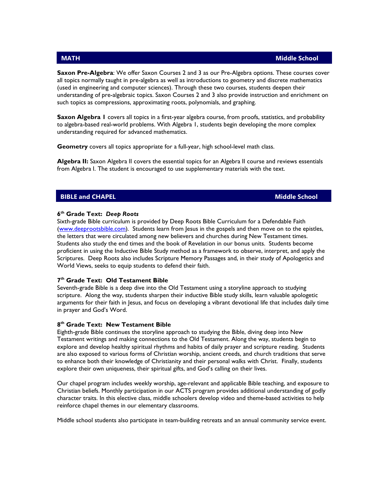**Saxon Pre-Algebra**: We offer Saxon Courses 2 and 3 as our Pre-Algebra options. These courses cover all topics normally taught in pre-algebra as well as introductions to geometry and discrete mathematics (used in engineering and computer sciences). Through these two courses, students deepen their understanding of pre-algebraic topics. Saxon Courses 2 and 3 also provide instruction and enrichment on such topics as compressions, approximating roots, polynomials, and graphing.

**Saxon Algebra 1** covers all topics in a first-year algebra course, from proofs, statistics, and probability to algebra-based real-world problems. With Algebra 1, students begin developing the more complex understanding required for advanced mathematics.

**Geometry** covers all topics appropriate for a full-year, high school-level math class.

**Algebra II:** Saxon Algebra II covers the essential topics for an Algebra II course and reviews essentials from Algebra I. The student is encouraged to use supplementary materials with the text.

# **BIBLE and CHAPEL Middle School**

## **6th Grade Text:** *Deep Roots*

Sixth-grade Bible curriculum is provided by Deep Roots Bible Curriculum for a Defendable Faith [\(www.deeprootsbible.com\)](http://www.deeprootsbible.com/). Students learn from Jesus in the gospels and then move on to the epistles, the letters that were circulated among new believers and churches during New Testament times. Students also study the end times and the book of Revelation in our bonus units. Students become proficient in using the Inductive Bible Study method as a framework to observe, interpret, and apply the Scriptures. Deep Roots also includes Scripture Memory Passages and, in their study of Apologetics and World Views, seeks to equip students to defend their faith.

## **7th Grade Text: Old Testament Bible**

Seventh-grade Bible is a deep dive into the Old Testament using a storyline approach to studying scripture. Along the way, students sharpen their inductive Bible study skills, learn valuable apologetic arguments for their faith in Jesus, and focus on developing a vibrant devotional life that includes daily time in prayer and God's Word.

# **8th Grade Text: New Testament Bible**

Eighth-grade Bible continues the storyline approach to studying the Bible, diving deep into New Testament writings and making connections to the Old Testament. Along the way, students begin to explore and develop healthy spiritual rhythms and habits of daily prayer and scripture reading. Students are also exposed to various forms of Christian worship, ancient creeds, and church traditions that serve to enhance both their knowledge of Christianity and their personal walks with Christ. Finally, students explore their own uniqueness, their spiritual gifts, and God's calling on their lives.

Our chapel program includes weekly worship, age-relevant and applicable Bible teaching, and exposure to Christian beliefs. Monthly participation in our ACTS program provides additional understanding of godly character traits. In this elective class, middle schoolers develop video and theme-based activities to help reinforce chapel themes in our elementary classrooms.

Middle school students also participate in team-building retreats and an annual community service event.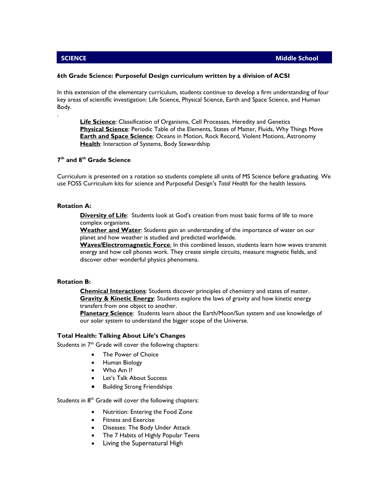.

## **6th Grade Science: Purposeful Design curriculum written by a division of ACSI**

In this extension of the elementary curriculum, students continue to develop a firm understanding of four key areas of scientific investigation: Life Science, Physical Science, Earth and Space Science, and Human Body.

**Life Science**: Classification of Organisms, Cell Processes, Heredity and Genetics **Physical Science**: Periodic Table of the Elements, States of Matter, Fluids, Why Things Move **Earth and Space Science**: Oceans in Motion, Rock Record, Violent Motions, Astronomy **Health:** Interaction of Systems, Body Stewardship

## **7th and 8th Grade Science**

Curriculum is presented on a rotation so students complete all units of MS Science before graduating. We use FOSS Curriculum kits for science and Purposeful Design's *Total Health* for the health lessons.

## **Rotation A:**

**Diversity of Life**: Students look at God's creation from most basic forms of life to more complex organisms.

**Weather and Water**: Students gain an understanding of the importance of water on our planet and how weather is studied and predicted worldwide.

**Waves/Electromagnetic Force**: In this combined lesson, students learn how waves transmit energy and how cell phones work. They create simple circuits, measure magnetic fields, and discover other wonderful physics phenomena.

## **Rotation B:**

**Chemical Interactions**: Students discover principles of chemistry and states of matter. **Gravity & Kinetic Energy**: Students explore the laws of gravity and how kinetic energy transfers from one object to another.

**Planetary Science**: Students learn about the Earth/Moon/Sun system and use knowledge of our solar system to understand the bigger scope of the Universe.

## **Total Health: Talking About Life's Changes**

Students in  $7<sup>th</sup>$  Grade will cover the following chapters:

- The Power of Choice
- Human Biology
- Who Am I?
- Let's Talk About Success
- Building Strong Friendships

Students in  $8<sup>th</sup>$  Grade will cover the following chapters:

- Nutrition: Entering the Food Zone
- Fitness and Exercise
- Diseases: The Body Under Attack
- The 7 Habits of Highly Popular Teens
- Living the Supernatural High